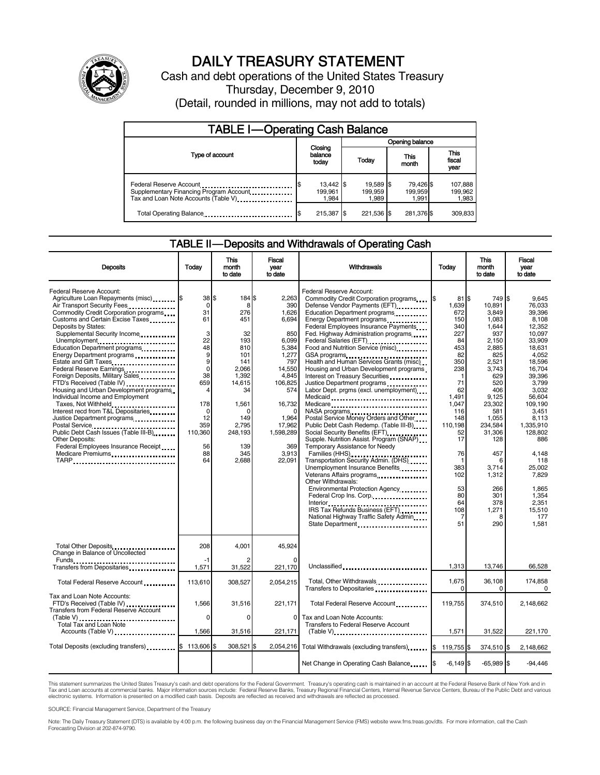

# DAILY TREASURY STATEMENT

Cash and debt operations of the United States Treasury Thursday, December 9, 2010 (Detail, rounded in millions, may not add to totals)

| <b>TABLE I-Operating Cash Balance</b>                                                                      |                               |                               |                               |                             |  |  |
|------------------------------------------------------------------------------------------------------------|-------------------------------|-------------------------------|-------------------------------|-----------------------------|--|--|
|                                                                                                            |                               | Opening balance               |                               |                             |  |  |
| Type of account                                                                                            | Closing<br>balance<br>today   | Today                         | This<br>month                 | This<br>fiscal<br>year      |  |  |
| Federal Reserve Account<br>Supplementary Financing Program Account<br>Tax and Loan Note Accounts (Table V) | 13,442 \$<br>199.961<br>1.984 | 19,589 \$<br>199.959<br>1.989 | 79,426 \$<br>199,959<br>1.991 | 107,888<br>199,962<br>1,983 |  |  |
| Total Operating Balance                                                                                    | 215,387 \$                    | 221.536 \$                    | 281,376 \$                    | 309,833                     |  |  |

#### TABLE II — Deposits and Withdrawals of Operating Cash

| <b>Deposits</b>                                                                                                                                                                                                                                                                                                                                                                                                                                                                                                                                                                                                                                                                                                                                     | Today                                                                                                                                         | This<br>month<br>to date                                                                                                                                 | Fiscal<br>year<br>to date                                                                                                                                                        | <b>Withdrawals</b>                                                                                                                                                                                                                                                                                                                                                                                                                                                                                                                                                                                                                                                                                                                                                                                                                                                                                                                                                                                                                                           | Today                                                                                                                                                                                                                                 | <b>This</b><br>month<br>to date                                                                                                                                                                                                                           | Fiscal<br>vear<br>to date                                                                                                                                                                                                                                                                         |
|-----------------------------------------------------------------------------------------------------------------------------------------------------------------------------------------------------------------------------------------------------------------------------------------------------------------------------------------------------------------------------------------------------------------------------------------------------------------------------------------------------------------------------------------------------------------------------------------------------------------------------------------------------------------------------------------------------------------------------------------------------|-----------------------------------------------------------------------------------------------------------------------------------------------|----------------------------------------------------------------------------------------------------------------------------------------------------------|----------------------------------------------------------------------------------------------------------------------------------------------------------------------------------|--------------------------------------------------------------------------------------------------------------------------------------------------------------------------------------------------------------------------------------------------------------------------------------------------------------------------------------------------------------------------------------------------------------------------------------------------------------------------------------------------------------------------------------------------------------------------------------------------------------------------------------------------------------------------------------------------------------------------------------------------------------------------------------------------------------------------------------------------------------------------------------------------------------------------------------------------------------------------------------------------------------------------------------------------------------|---------------------------------------------------------------------------------------------------------------------------------------------------------------------------------------------------------------------------------------|-----------------------------------------------------------------------------------------------------------------------------------------------------------------------------------------------------------------------------------------------------------|---------------------------------------------------------------------------------------------------------------------------------------------------------------------------------------------------------------------------------------------------------------------------------------------------|
| Federal Reserve Account:<br>Agriculture Loan Repayments (misc) \$<br>Air Transport Security Fees<br>Commodity Credit Corporation programs<br>Customs and Certain Excise Taxes<br>Deposits by States:<br>Supplemental Security Income<br>Unemployment<br>Education Department programs<br>Energy Department programs<br>Estate and Gift Taxes<br>Federal Reserve Earnings<br>Foreign Deposits, Military Sales<br>FTD's Received (Table IV)<br>Housing and Urban Development programs<br>Individual Income and Employment<br>Taxes, Not Withheld<br>Interest recd from T&L Depositaries<br>Justice Department programs<br>Public Debt Cash Issues (Table III-B)<br><b>Other Deposits:</b><br>Federal Employees Insurance Receipt<br>Medicare Premiums | 38S<br>$\Omega$<br>31<br>61<br>3<br>22<br>48<br>9<br>9<br>$\mathbf 0$<br>38<br>659<br>4<br>178<br>0<br>12<br>359<br>110,360<br>56<br>88<br>64 | 184 \$<br>8<br>276<br>451<br>32<br>193<br>810<br>101<br>141<br>2,066<br>1,392<br>14,615<br>34<br>1,561<br>149<br>2,795<br>248,193<br>139<br>345<br>2,688 | 2.263<br>390<br>1,626<br>6,694<br>850<br>6,099<br>5,384<br>1,277<br>797<br>14,550<br>4.845<br>106,825<br>574<br>16,732<br>1,964<br>17,962<br>1,598,289<br>369<br>3,913<br>22.091 | Federal Reserve Account:<br>Commodity Credit Corporation programs<br>Defense Vendor Payments (EFT)<br>Education Department programs<br>Energy Department programs<br><br>Federal Employees Insurance Payments<br>Fed. Highway Administration programs<br>Food and Nutrition Service (misc).<br>GSA programs<br>Health and Human Services Grants (misc)<br>Housing and Urban Development programs<br>Interest on Treasury Securities<br>Justice Department programs<br>Labor Dept. prgms (excl. unemployment)<br>Medicare<br>Postal Service Money Orders and Other<br>Public Debt Cash Redemp. (Table III-B)<br>Social Security Benefits (EFT)<br>Supple. Nutrition Assist. Program (SNAP)<br>Temporary Assistance for Needy<br>Families (HHS) <b></b><br>Transportation Security Admin. (DHS)<br>Unemployment Insurance Benefits<br>Veterans Affairs programs<br>Other Withdrawals:<br>Environmental Protection Agency<br>Federal Crop Ins. Corp<br>Interior<br>IRS Tax Refunds Business (EFT).<br>National Highway Traffic Safety Admin<br>State Department | 81 IS<br>1.639<br>672<br>150<br>340<br>227<br>84<br>453<br>82<br>350<br>238<br>$\mathbf{1}$<br>71<br>62<br>1,491<br>1.047<br>116<br>148<br>110,198<br>52<br>17<br>76<br>$\mathbf 1$<br>383<br>102<br>53<br>80<br>64<br>108<br>7<br>51 | 749 \$<br>10.891<br>3,849<br>1,083<br>1,644<br>937<br>2,150<br>2,885<br>825<br>2,521<br>3,743<br>629<br>520<br>406<br>9,125<br>23,302<br>581<br>1,055<br>234,584<br>31,306<br>128<br>457<br>6<br>3.714<br>1,312<br>266<br>301<br>378<br>1,271<br>8<br>290 | 9.645<br>76.033<br>39,396<br>8,108<br>12,352<br>10.097<br>33,909<br>18.631<br>4.052<br>18.596<br>16,704<br>39.396<br>3.799<br>3,032<br>56,604<br>109.190<br>3.451<br>8,113<br>1,335,910<br>128.802<br>886<br>4,148<br>118<br>25.002<br>7,829<br>1.865<br>1,354<br>2,351<br>15.510<br>177<br>1.581 |
| Total Other Deposits<br>Change in Balance of Uncollected                                                                                                                                                                                                                                                                                                                                                                                                                                                                                                                                                                                                                                                                                            | 208<br>$-1$                                                                                                                                   | 4.001                                                                                                                                                    | 45.924                                                                                                                                                                           |                                                                                                                                                                                                                                                                                                                                                                                                                                                                                                                                                                                                                                                                                                                                                                                                                                                                                                                                                                                                                                                              |                                                                                                                                                                                                                                       |                                                                                                                                                                                                                                                           |                                                                                                                                                                                                                                                                                                   |
| Transfers from Depositaries                                                                                                                                                                                                                                                                                                                                                                                                                                                                                                                                                                                                                                                                                                                         | 1,571                                                                                                                                         | 31,522                                                                                                                                                   | 221,170                                                                                                                                                                          | Unclassified                                                                                                                                                                                                                                                                                                                                                                                                                                                                                                                                                                                                                                                                                                                                                                                                                                                                                                                                                                                                                                                 | 1.313                                                                                                                                                                                                                                 | 13,746                                                                                                                                                                                                                                                    | 66,528                                                                                                                                                                                                                                                                                            |
| Total Federal Reserve Account                                                                                                                                                                                                                                                                                                                                                                                                                                                                                                                                                                                                                                                                                                                       | 113,610                                                                                                                                       | 308,527                                                                                                                                                  | 2,054,215                                                                                                                                                                        | Total, Other Withdrawals<br>Transfers to Depositaries                                                                                                                                                                                                                                                                                                                                                                                                                                                                                                                                                                                                                                                                                                                                                                                                                                                                                                                                                                                                        | 1,675<br>0                                                                                                                                                                                                                            | 36,108<br>0                                                                                                                                                                                                                                               | 174,858<br>$\Omega$                                                                                                                                                                                                                                                                               |
| Tax and Loan Note Accounts:<br>FTD's Received (Table IV)<br>Transfers from Federal Reserve Account                                                                                                                                                                                                                                                                                                                                                                                                                                                                                                                                                                                                                                                  | 1.566                                                                                                                                         | 31,516                                                                                                                                                   | 221,171                                                                                                                                                                          | Total Federal Reserve Account                                                                                                                                                                                                                                                                                                                                                                                                                                                                                                                                                                                                                                                                                                                                                                                                                                                                                                                                                                                                                                | 119.755                                                                                                                                                                                                                               | 374,510                                                                                                                                                                                                                                                   | 2,148,662                                                                                                                                                                                                                                                                                         |
| (Table V)<br>Total Tax and Loan Note<br>Accounts (Table V)                                                                                                                                                                                                                                                                                                                                                                                                                                                                                                                                                                                                                                                                                          | $\Omega$<br>1,566                                                                                                                             | $\Omega$<br>31,516                                                                                                                                       | $\Omega$<br>221,171                                                                                                                                                              | Tax and Loan Note Accounts:<br>Transfers to Federal Reserve Account<br>$(Table V)$ , $\ldots$ , $\ldots$ , $\ldots$ , $\ldots$ , $\ldots$ , $\ldots$ , $\ldots$ , $\ldots$ , $\ldots$                                                                                                                                                                                                                                                                                                                                                                                                                                                                                                                                                                                                                                                                                                                                                                                                                                                                        | 1,571                                                                                                                                                                                                                                 | 31,522                                                                                                                                                                                                                                                    | 221,170                                                                                                                                                                                                                                                                                           |
| Total Deposits (excluding transfers)                                                                                                                                                                                                                                                                                                                                                                                                                                                                                                                                                                                                                                                                                                                | \$<br>113,606                                                                                                                                 | 308,521 \$                                                                                                                                               |                                                                                                                                                                                  | 2,054,216 Total Withdrawals (excluding transfers) [\$                                                                                                                                                                                                                                                                                                                                                                                                                                                                                                                                                                                                                                                                                                                                                                                                                                                                                                                                                                                                        | 119,755 \$                                                                                                                                                                                                                            | 374,510 \$                                                                                                                                                                                                                                                | 2,148,662                                                                                                                                                                                                                                                                                         |
|                                                                                                                                                                                                                                                                                                                                                                                                                                                                                                                                                                                                                                                                                                                                                     |                                                                                                                                               |                                                                                                                                                          |                                                                                                                                                                                  | Net Change in Operating Cash Balance                                                                                                                                                                                                                                                                                                                                                                                                                                                                                                                                                                                                                                                                                                                                                                                                                                                                                                                                                                                                                         | $-6.149$ \$                                                                                                                                                                                                                           | $-65.989$ \$                                                                                                                                                                                                                                              | $-94.446$                                                                                                                                                                                                                                                                                         |

This statement summarizes the United States Treasury's cash and debt operations for the Federal Government. Treasury's operating cash is maintained in an account at the Federal Reserve Bank of New York and in<br>Tax and Loan electronic systems. Information is presented on a modified cash basis. Deposits are reflected as received and withdrawals are reflected as processed.

SOURCE: Financial Management Service, Department of the Treasury

Note: The Daily Treasury Statement (DTS) is available by 4:00 p.m. the following business day on the Financial Management Service (FMS) website www.fms.treas.gov/dts. For more information, call the Cash Forecasting Division at 202-874-9790.